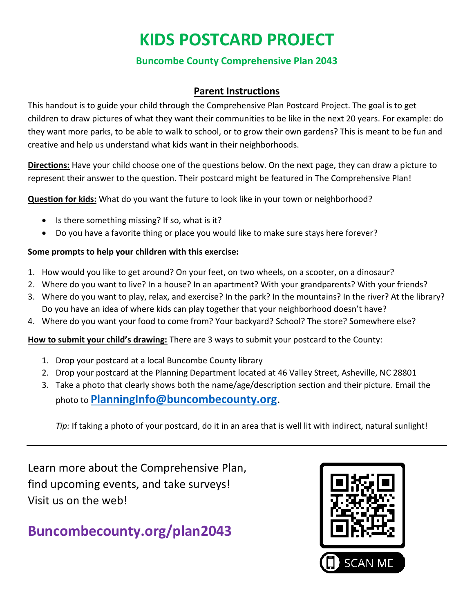# **KIDS POSTCARD PROJECT**

### **Buncombe County Comprehensive Plan 2043**

### **Parent Instructions**

This handout is to guide your child through the Comprehensive Plan Postcard Project. The goal is to get children to draw pictures of what they want their communities to be like in the next 20 years. For example: do they want more parks, to be able to walk to school, or to grow their own gardens? This is meant to be fun and creative and help us understand what kids want in their neighborhoods.

**Directions:** Have your child choose one of the questions below. On the next page, they can draw a picture to represent their answer to the question. Their postcard might be featured in The Comprehensive Plan!

**Question for kids:** What do you want the future to look like in your town or neighborhood?

- Is there something missing? If so, what is it?
- Do you have a favorite thing or place you would like to make sure stays here forever?

#### **Some prompts to help your children with this exercise:**

- 1. How would you like to get around? On your feet, on two wheels, on a scooter, on a dinosaur?
- 2. Where do you want to live? In a house? In an apartment? With your grandparents? With your friends?
- 3. Where do you want to play, relax, and exercise? In the park? In the mountains? In the river? At the library? Do you have an idea of where kids can play together that your neighborhood doesn't have?
- 4. Where do you want your food to come from? Your backyard? School? The store? Somewhere else?

**How to submit your child's drawing:** There are 3 ways to submit your postcard to the County:

- 1. Drop your postcard at a local Buncombe County library
- 2. Drop your postcard at the Planning Department located at 46 Valley Street, Asheville, NC 28801
- 3. Take a photo that clearly shows both the name/age/description section and their picture. Email the photo to **[PlanningInfo@buncombecounty.org](mailto:PlanningInfo@buncombecounty.org)**.

*Tip:* If taking a photo of your postcard, do it in an area that is well lit with indirect, natural sunlight!

Learn more about the Comprehensive Plan, find upcoming events, and take surveys! Visit us on the web!

## **Buncombecounty.org/plan2043**